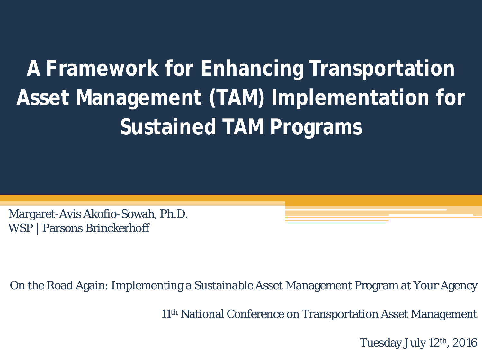#### **A Framework for Enhancing Transportation Asset Management (TAM) Implementation for Sustained TAM Programs**

Margaret-Avis Akofio-Sowah, Ph.D. WSP | Parsons Brinckerhoff

On the Road Again: Implementing a Sustainable Asset Management Program at Your Agency

11th National Conference on Transportation Asset Management

Tuesday July 12th, 2016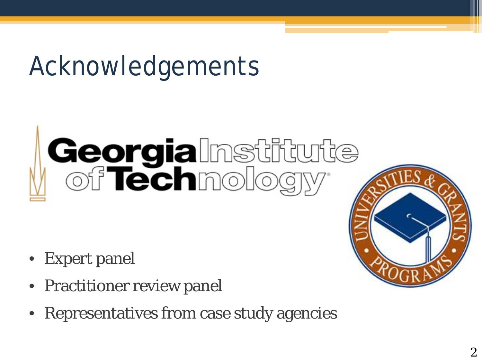# Acknowledgements

# Georgialmstitute

- Expert panel
- Practitioner review panel
- Representatives from case study agencies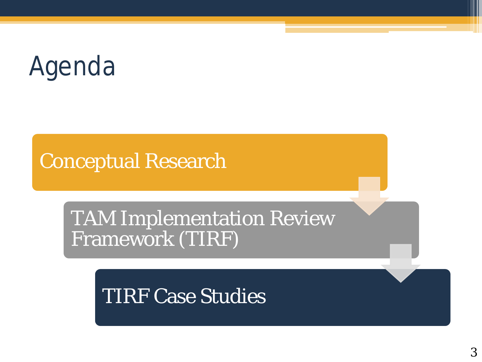# Agenda

#### Conceptual Research

#### TAM Implementation Review Framework (TIRF)

TIRF Case Studies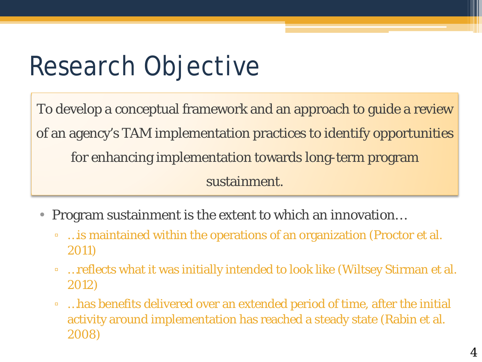# Research Objective

To develop a conceptual framework and an approach to guide a review of an agency's TAM implementation practices to identify opportunities for enhancing implementation towards long-term program sustainment.

- Program sustainment is the extent to which an innovation…
	- …is maintained within the operations of an organization (Proctor et al. 2011)
	- …reflects what it was initially intended to look like (Wiltsey Stirman et al. 2012)
	- …has benefits delivered over an extended period of time, after the initial activity around implementation has reached a steady state (Rabin et al. 2008)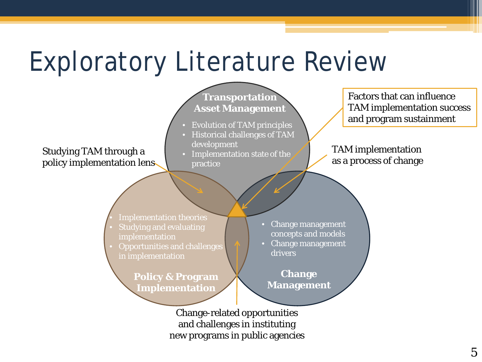## Exploratory Literature Review

Studying TAM through a policy implementation lens

**Transportation Asset Management**

- Evolution of TAM principles
- Historical challenges of TAM development
- Implementation state of the practice

Factors that can influence TAM implementation success and program sustainment

TAM implementation as a process of change

**Implementation theories** 

- Studying and evaluating implementation
- Opportunities and challenges in implementation

**Policy & Program Implementation**

- Change management concepts and models
- Change management drivers

**Change Management**

Change-related opportunities and challenges in instituting new programs in public agencies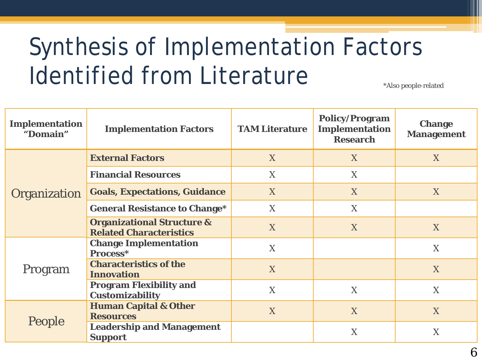## Synthesis of Implementation Factors Identified from Literature

|                                   |                                                                         |                       | *Also people-related                                              |                                    |
|-----------------------------------|-------------------------------------------------------------------------|-----------------------|-------------------------------------------------------------------|------------------------------------|
| <b>Implementation</b><br>"Domain" | <b>Implementation Factors</b>                                           | <b>TAM Literature</b> | <b>Policy/Program</b><br><b>Implementation</b><br><b>Research</b> | <b>Change</b><br><b>Management</b> |
| <b>Organization</b>               | <b>External Factors</b>                                                 | X                     | X                                                                 | X                                  |
|                                   | <b>Financial Resources</b>                                              | X                     | $\mathbf{X}$                                                      |                                    |
|                                   | <b>Goals, Expectations, Guidance</b>                                    | X                     | X                                                                 | X                                  |
|                                   | <b>General Resistance to Change*</b>                                    | X                     | X                                                                 |                                    |
|                                   | <b>Organizational Structure &amp;</b><br><b>Related Characteristics</b> | X                     | X                                                                 | X                                  |
|                                   | <b>Change Implementation</b><br>Process*                                | X                     |                                                                   | X                                  |
| Program                           | <b>Characteristics of the</b><br><b>Innovation</b>                      | X                     |                                                                   | X                                  |
|                                   | <b>Program Flexibility and</b><br><b>Customizability</b>                | X                     | X                                                                 | X                                  |
| People                            | <b>Human Capital &amp; Other</b><br><b>Resources</b>                    | X                     | X                                                                 | X                                  |
|                                   | <b>Leadership and Management</b><br><b>Support</b>                      |                       | X                                                                 | X                                  |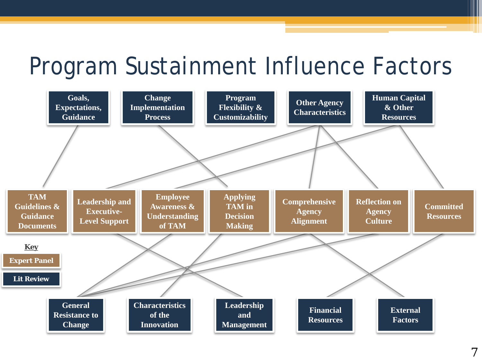#### Program Sustainment Influence Factors

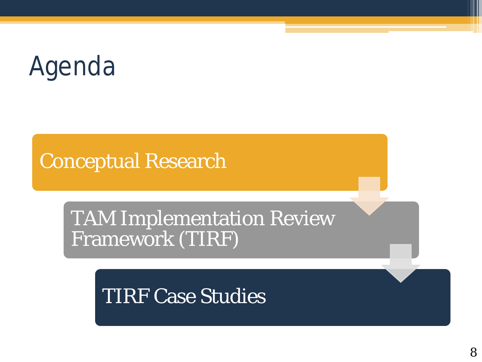# Agenda

#### Conceptual Research

#### TAM Implementation Review Framework (TIRF)

TIRF Case Studies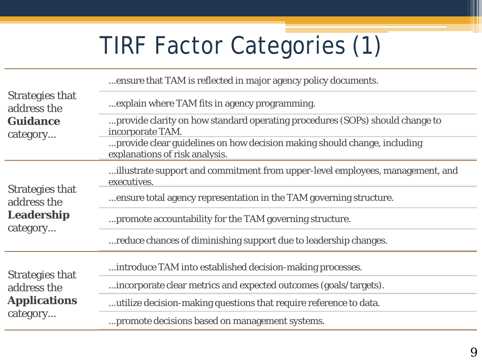#### TIRF Factor Categories (1)

|                                       | ensure that TAM is reflected in major agency policy documents.                                             |  |  |  |  |  |  |
|---------------------------------------|------------------------------------------------------------------------------------------------------------|--|--|--|--|--|--|
| <b>Strategies that</b><br>address the | explain where TAM fits in agency programming.                                                              |  |  |  |  |  |  |
| <b>Guidance</b><br>category           | provide clarity on how standard operating procedures (SOPs) should change to<br>incorporate TAM.           |  |  |  |  |  |  |
|                                       | provide clear guidelines on how decision making should change, including<br>explanations of risk analysis. |  |  |  |  |  |  |
|                                       | illustrate support and commitment from upper-level employees, management, and<br>executives.               |  |  |  |  |  |  |
| <b>Strategies that</b><br>address the | ensure total agency representation in the TAM governing structure.                                         |  |  |  |  |  |  |
| <b>Leadership</b>                     | promote accountability for the TAM governing structure.                                                    |  |  |  |  |  |  |
| category                              | reduce chances of diminishing support due to leadership changes.                                           |  |  |  |  |  |  |
|                                       | introduce TAM into established decision-making processes.                                                  |  |  |  |  |  |  |
| <b>Strategies that</b><br>address the | incorporate clear metrics and expected outcomes (goals/targets).                                           |  |  |  |  |  |  |
| <b>Applications</b>                   | utilize decision-making questions that require reference to data.                                          |  |  |  |  |  |  |
| category                              | promote decisions based on management systems.                                                             |  |  |  |  |  |  |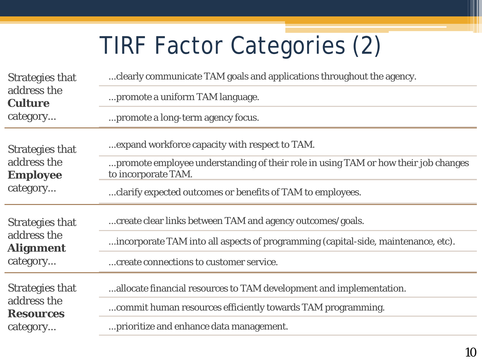#### TIRF Factor Categories (2)

| <b>Strategies that</b>          | clearly communicate TAM goals and applications throughout the agency.                                     |  |  |  |  |  |
|---------------------------------|-----------------------------------------------------------------------------------------------------------|--|--|--|--|--|
| address the<br><b>Culture</b>   | promote a uniform TAM language.                                                                           |  |  |  |  |  |
| category                        | promote a long-term agency focus.                                                                         |  |  |  |  |  |
| <b>Strategies that</b>          | expand workforce capacity with respect to TAM.                                                            |  |  |  |  |  |
| address the<br><b>Employee</b>  | promote employee understanding of their role in using TAM or how their job changes<br>to incorporate TAM. |  |  |  |  |  |
| category                        | clarify expected outcomes or benefits of TAM to employees.                                                |  |  |  |  |  |
| <b>Strategies that</b>          | create clear links between TAM and agency outcomes/goals.                                                 |  |  |  |  |  |
| address the<br><b>Alignment</b> | incorporate TAM into all aspects of programming (capital-side, maintenance, etc).                         |  |  |  |  |  |
| category                        | create connections to customer service.                                                                   |  |  |  |  |  |
| <b>Strategies that</b>          | allocate financial resources to TAM development and implementation.                                       |  |  |  |  |  |
| address the<br><b>Resources</b> | commit human resources efficiently towards TAM programming.                                               |  |  |  |  |  |
| category                        | prioritize and enhance data management.                                                                   |  |  |  |  |  |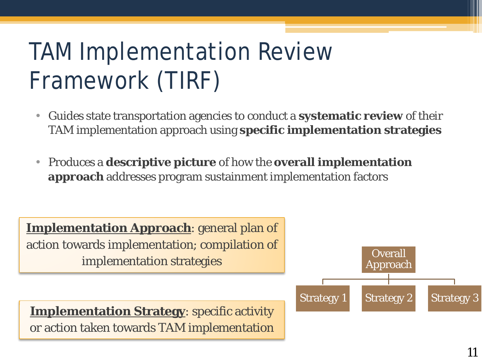## TAM Implementation Review Framework (TIRF)

- Guides state transportation agencies to conduct a **systematic review** of their TAM implementation approach using **specific implementation strategies**
- Produces a **descriptive picture** of how the **overall implementation approach** addresses program sustainment implementation factors

**Implementation Approach**: general plan of action towards implementation; compilation of implementation strategies and a contraction of the contraction of the contraction of the contraction of the contraction of the contraction of the contraction of the contraction of the contraction of the contraction of the

**Implementation Strategy:** specific activity or action taken towards TAM implementation

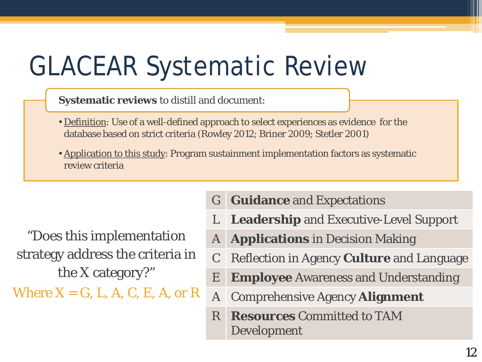# GLACEAR Systematic Review

**Systematic reviews** to distill and document:

- Definition: Use of a well-defined approach to select experiences as evidence for the database based on strict criteria (Rowley 2012; Briner 2009; Stetler 2001)
- Application to this study: Program sustainment implementation factors as systematic review criteria

"Does this implementation strategy address the criteria in the X category?" Where  $X = G$ , L, A, C, E, A, or R

- G **Guidance** and Expectations
- **Leadership** and Executive-Level Support
- A **Applications** in Decision Making
- C Reflection in Agency **Culture** and Language
- E **Employee** Awareness and Understanding
- A Comprehensive Agency **Alignment**
- R **Resources** Committed to TAM Development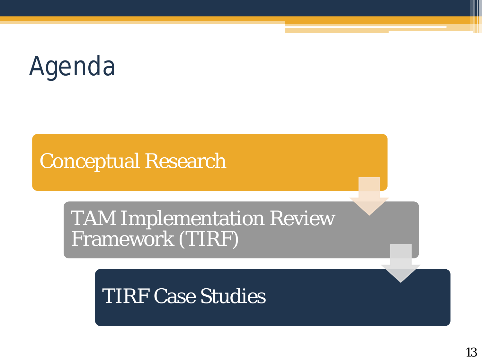# Agenda

#### Conceptual Research

#### TAM Implementation Review Framework (TIRF)

TIRF Case Studies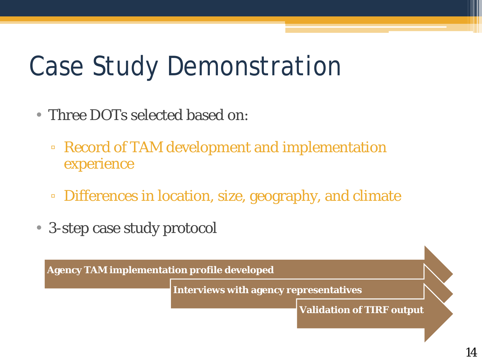# Case Study Demonstration

- Three DOTs selected based on:
	- Record of TAM development and implementation experience
	- Differences in location, size, geography, and climate
- 3-step case study protocol

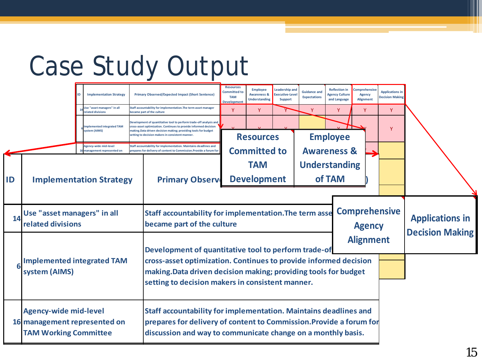# Case Study Output

|    |                                                                                              | <b>Implementation Strategy</b><br>Use "asset managers" in all<br>related divisions | became part of the culture | <b>Primary Observed/Expected Impact (Short Sentence)</b><br>Staff accountability for implementation. The term asset manage                                                                                                                                   | <b>Resources</b><br><b>Committed to</b><br><b>TAM</b><br><b>Development</b> | <b>Employee</b><br><b>Awareness &amp;</b><br><b>Understanding</b><br>Y | Leadership and<br>Executive-Level<br><b>Support</b> | <b>Guidance and</b><br><b>Expectations</b> | <b>Reflection in</b><br><b>Agency Culture</b><br>and Language | <b>Comprehensiv</b><br><b>Agency</b><br><b>Alignment</b> | <b>Applications in</b><br><b>Decision Making</b><br>Y |  |
|----|----------------------------------------------------------------------------------------------|------------------------------------------------------------------------------------|----------------------------|--------------------------------------------------------------------------------------------------------------------------------------------------------------------------------------------------------------------------------------------------------------|-----------------------------------------------------------------------------|------------------------------------------------------------------------|-----------------------------------------------------|--------------------------------------------|---------------------------------------------------------------|----------------------------------------------------------|-------------------------------------------------------|--|
|    |                                                                                              | <b>Implemented integrated TAM</b><br>system (AIMS)                                 |                            | Development of quantitative tool to perform trade-off analysis and<br>ross-asset optimization. Continues to provide informed decisior:<br>making. Data driven decision making; providing tools for budget<br>setting to decision makers in consistent manner |                                                                             | <b>Resources</b>                                                       |                                                     |                                            | <b>Employee</b>                                               |                                                          | v                                                     |  |
|    |                                                                                              | Agency-wide mid-level<br>nanagement represented on                                 |                            | Staff accountability for implementation. Maintains deadlines and<br>prepares for delivery of content to Commission. Provide a forum for                                                                                                                      |                                                                             | <b>Committed to</b>                                                    |                                                     |                                            | <b>Awareness &amp;</b>                                        |                                                          |                                                       |  |
|    |                                                                                              |                                                                                    |                            |                                                                                                                                                                                                                                                              |                                                                             | <b>TAM</b>                                                             |                                                     | <b>Understanding</b>                       |                                                               |                                                          |                                                       |  |
| ID |                                                                                              | <b>Implementation Strategy</b>                                                     |                            | <b>Primary Observ</b>                                                                                                                                                                                                                                        |                                                                             | <b>Development</b>                                                     |                                                     |                                            | of TAM                                                        |                                                          |                                                       |  |
|    |                                                                                              |                                                                                    |                            |                                                                                                                                                                                                                                                              |                                                                             |                                                                        |                                                     |                                            |                                                               |                                                          |                                                       |  |
|    | Use "asset managers" in all<br>14<br>related divisions                                       |                                                                                    |                            | Staff accountability for implementation. The term asse<br>became part of the culture                                                                                                                                                                         |                                                                             |                                                                        |                                                     | <b>Comprehensive</b><br><b>Agency</b>      |                                                               | <b>Applications in</b><br><b>Decision Making</b>         |                                                       |  |
|    |                                                                                              |                                                                                    |                            | Development of quantitative tool to perform trade-of                                                                                                                                                                                                         |                                                                             |                                                                        |                                                     |                                            |                                                               | <b>Alignment</b>                                         |                                                       |  |
|    | system (AIMS)                                                                                | <b>Implemented integrated TAM</b>                                                  |                            | cross-asset optimization. Continues to provide informed decision<br>making. Data driven decision making; providing tools for budget<br>setting to decision makers in consistent manner.                                                                      |                                                                             |                                                                        |                                                     |                                            |                                                               |                                                          |                                                       |  |
|    |                                                                                              |                                                                                    |                            |                                                                                                                                                                                                                                                              |                                                                             |                                                                        |                                                     |                                            |                                                               |                                                          |                                                       |  |
|    | <b>Agency-wide mid-level</b><br>16 management represented on<br><b>TAM Working Committee</b> |                                                                                    |                            | Staff accountability for implementation. Maintains deadlines and<br>prepares for delivery of content to Commission. Provide a forum for<br>discussion and way to communicate change on a monthly basis.                                                      |                                                                             |                                                                        |                                                     |                                            |                                                               |                                                          |                                                       |  |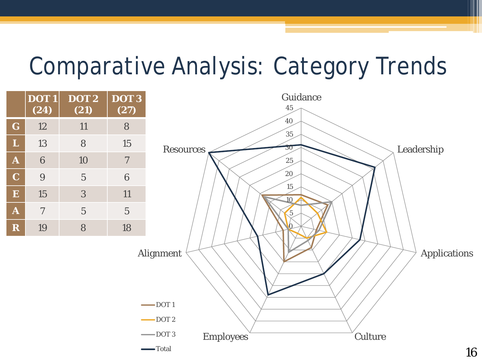#### Comparative Analysis: Category Trends



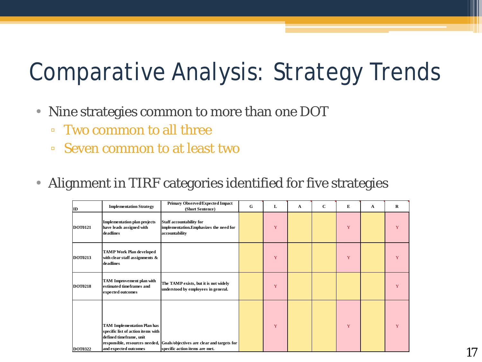#### Comparative Analysis: Strategy Trends

- Nine strategies common to more than one DOT
	- Two common to all three
	- Seven common to at least two
- Alignment in TIRF categories identified for five strategies

| ID             | <b>Implementation Strategy</b>                                                                                               | Primary Observed/Expected Impact<br>(Short Sentence)                                                        | $\mathbf G$ | L | A | $\mathbf C$ | E | A | $\mathbf{R}$ |
|----------------|------------------------------------------------------------------------------------------------------------------------------|-------------------------------------------------------------------------------------------------------------|-------------|---|---|-------------|---|---|--------------|
| <b>DOT0121</b> | <b>Implementation plan projects</b><br>have leads assigned with<br>deadlines                                                 | <b>Staff accountability for</b><br>implementation.Emphasizes the need for<br>accountability                 |             | Y |   |             | Y |   | Y            |
| <b>DOT0213</b> | <b>TAMP Work Plan developed</b><br>with clear staff assignments &<br>deadlines                                               |                                                                                                             |             | Y |   |             | Y |   | Y            |
| <b>DOT0218</b> | <b>TAM Improvement plan with</b><br>estimated timeframes and<br>expected outcomes                                            | The TAMP exists, but it is not widely<br>understood by employees in general.                                |             | Y |   |             |   |   | Y            |
| <b>DOT0322</b> | <b>TAM Implementation Plan has</b><br>specific list of action items with<br>defined timeframe, unit<br>and expected outcomes | responsible, resources needed, Goals/objectives are clear and targets for<br>specific action items are met. |             | Y |   |             | Y |   | Y            |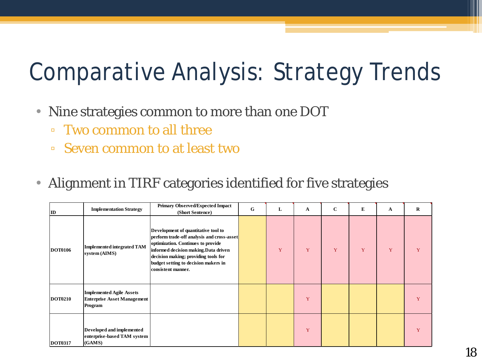#### Comparative Analysis: Strategy Trends

- Nine strategies common to more than one DOT
	- Two common to all three
	- Seven common to at least two
- Alignment in TIRF categories identified for five strategies

| ID             | <b>Implementation Strategy</b>                                                   | <b>Primary Observed/Expected Impact</b><br>(Short Sentence)                                                                                                                                                                                                            | G | L | A | $\mathbf C$ | Е | A | R |
|----------------|----------------------------------------------------------------------------------|------------------------------------------------------------------------------------------------------------------------------------------------------------------------------------------------------------------------------------------------------------------------|---|---|---|-------------|---|---|---|
| <b>DOT0106</b> | <b>Implemented integrated TAM</b><br>system (AIMS)                               | Development of quantitative tool to<br>perform trade-off analysis and cross-asset<br>optimization. Continues to provide<br>informed decision making. Data driven<br>decision making; providing tools for<br>budget setting to decision makers in<br>consistent manner. |   | Y | Y | Y           | Y | Y |   |
| <b>DOT0210</b> | <b>Implemented Agile Assets</b><br><b>Enterprise Asset Management</b><br>Program |                                                                                                                                                                                                                                                                        |   |   | Y |             |   |   | v |
| <b>DOT0317</b> | Developed and implemented<br>enterprise-based TAM system<br>(GAMS)               |                                                                                                                                                                                                                                                                        |   |   | Y |             |   |   |   |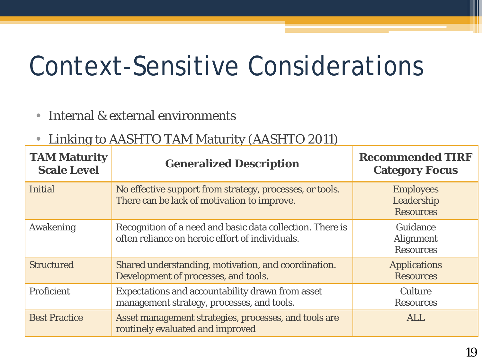# Context-Sensitive Considerations

- Internal & external environments
- Linking to AASHTO TAM Maturity (AASHTO 2011)

| <b>TAM Maturity</b><br><b>Scale Level</b> | <b>Generalized Description</b>                                                                               | <b>Recommended TIRF</b><br><b>Category Focus</b>   |
|-------------------------------------------|--------------------------------------------------------------------------------------------------------------|----------------------------------------------------|
| <b>Initial</b>                            | No effective support from strategy, processes, or tools.<br>There can be lack of motivation to improve.      | <b>Employees</b><br>Leadership<br><b>Resources</b> |
| Awakening                                 | Recognition of a need and basic data collection. There is<br>often reliance on heroic effort of individuals. | Guidance<br>Alignment<br><b>Resources</b>          |
| <b>Structured</b>                         | Shared understanding, motivation, and coordination.<br>Development of processes, and tools.                  | <b>Applications</b><br><b>Resources</b>            |
| Proficient                                | Expectations and accountability drawn from asset<br>management strategy, processes, and tools.               | Culture<br><b>Resources</b>                        |
| <b>Best Practice</b>                      | Asset management strategies, processes, and tools are<br>routinely evaluated and improved                    | <b>ALL</b>                                         |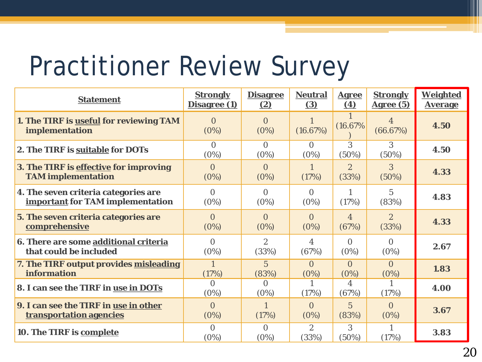## Practitioner Review Survey

| <b>Statement</b>                                                    | <b>Strongly</b>  | <b>Disagree</b>  | <b>Neutral</b>          | <b>Agree</b>            | <b>Strongly</b>       | <b>Weighted</b> |
|---------------------------------------------------------------------|------------------|------------------|-------------------------|-------------------------|-----------------------|-----------------|
|                                                                     | Disagree (1)     | (2)              | (3)                     | (4)                     | Agree (5)             | <b>Average</b>  |
| 1. The TIRF is useful for reviewing TAM<br>implementation           | $\Omega$<br>(0%) | $\theta$<br>(0%) | (16.67%)                | (16.67%                 | 4<br>(66.67%)         | 4.50            |
| 2. The TIRF is suitable for DOTs                                    | $\Omega$<br>(0%) | $\Omega$<br>(0%) | $\Omega$<br>(0%)        | 3<br>$(50\%)$           | 3<br>$(50\%)$         | 4.50            |
| 3. The TIRF is effective for improving<br><b>TAM</b> implementation | $\Omega$<br>(0%) | $\Omega$<br>(0%) | (17%)                   | $\overline{2}$<br>(33%) | 3<br>(50%)            | 4.33            |
| 4. The seven criteria categories are                                | $\Omega$         | $\Omega$         | $\Omega$                | $\mathbf{1}$            | $5\overline{)}$       | 4.83            |
| <b>important for TAM implementation</b>                             | (0%)             | (0%)             | (0%)                    | (17%)                   | (83%)                 |                 |
| 5. The seven criteria categories are                                | $\Omega$         | $\Omega$         | $\Omega$                | $\overline{4}$          | $\overline{2}$        | 4.33            |
| comprehensive                                                       | (0%)             | (0%)             | (0%)                    | (67%)                   | (33%)                 |                 |
| 6. There are some additional criteria                               | $\Omega$         | $\overline{2}$   | 4                       | $\Omega$                | $\Omega$              | 2.67            |
| that could be included                                              | (0%)             | (33%)            | (67%)                   | (0%)                    | (0%)                  |                 |
| 7. The TIRF output provides misleading                              | $\mathbf{1}$     | $\overline{5}$   | $\Omega$                | $\Omega$                | $\Omega$              | 1.83            |
| <b>information</b>                                                  | (17%)            | (83%)            | (0%)                    | (0%)                    | (0%)                  |                 |
| 8. I can see the TIRF in use in DOTs                                | $\Omega$<br>(0%) | $\theta$<br>(0%) | (17%)                   | $\overline{4}$<br>(67%) | (17%)                 | 4.00            |
| 9. I can see the TIRF in use in other                               | $\Omega$         | $\mathbf{1}$     | $\Omega$                | $\overline{5}$          | $\Omega$              | 3.67            |
| transportation agencies                                             | (0%)             | (17%)            | (0%)                    | (83%)                   | (0%)                  |                 |
| 10. The TIRF is complete                                            | $\Omega$<br>(0%) | $\Omega$<br>(0%) | $\overline{2}$<br>(33%) | 3<br>(50%)              | $\mathbf{1}$<br>(17%) | 3.83            |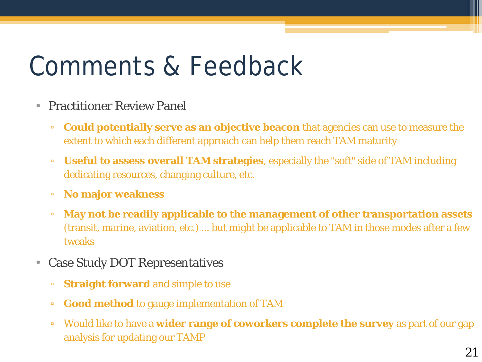## Comments & Feedback

- Practitioner Review Panel
	- **Could potentially serve as an objective beacon** that agencies can use to measure the extent to which each different approach can help them reach TAM maturity
	- **Useful to assess overall TAM strategies**, especially the "soft" side of TAM including dedicating resources, changing culture, etc.
	- **No major weakness**
	- **May not be readily applicable to the management of other transportation assets**  (transit, marine, aviation, etc.) ... but might be applicable to TAM in those modes after a few tweaks
- Case Study DOT Representatives
	- **Straight forward** and simple to use
	- **Good method** to gauge implementation of TAM
	- Would like to have a **wider range of coworkers complete the survey** as part of our gap analysis for updating our TAMP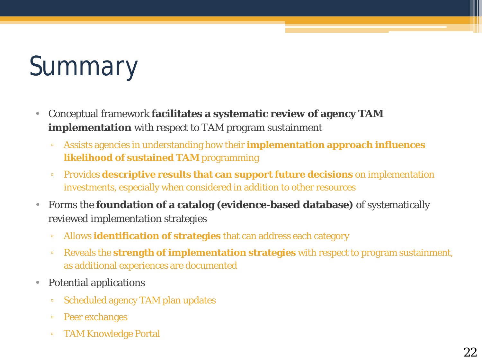# Summary

- Conceptual framework **facilitates a systematic review of agency TAM implementation** with respect to TAM program sustainment
	- Assists agencies in understanding how their **implementation approach influences likelihood of sustained TAM** programming
	- Provides **descriptive results that can support future decisions** on implementation investments, especially when considered in addition to other resources
- Forms the **foundation of a catalog (evidence-based database)** of systematically reviewed implementation strategies
	- Allows **identification of strategies** that can address each category
	- Reveals the **strength of implementation strategies** with respect to program sustainment, as additional experiences are documented
- Potential applications
	- Scheduled agency TAM plan updates
	- Peer exchanges
	- TAM Knowledge Portal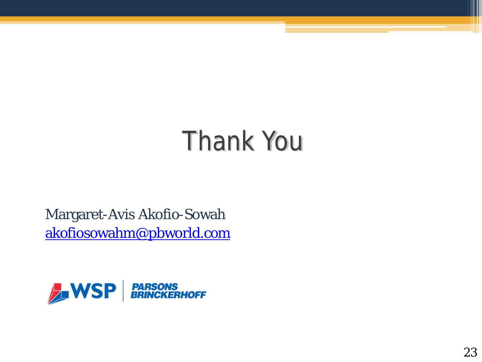# Thank You

Margaret-Avis Akofio-Sowah [akofiosowahm@pbworld.com](mailto:akofiosowahm@pbworld.com)